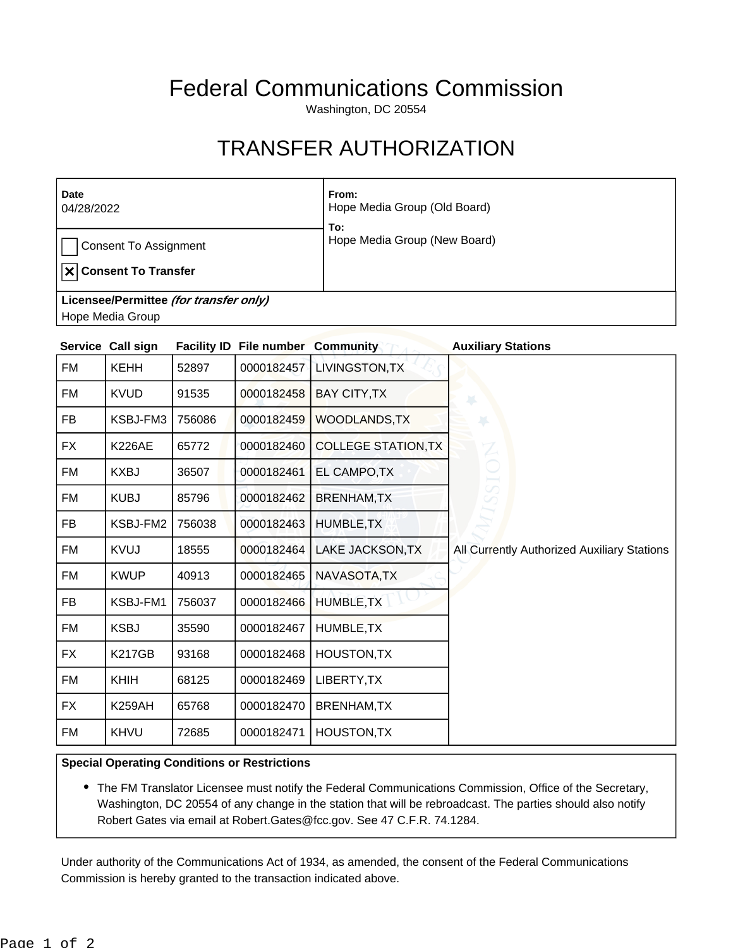## Federal Communications Commission

Washington, DC 20554

## TRANSFER AUTHORIZATION

| Date<br>04/28/2022                                                   | From:<br>Hope Media Group (Old Board)<br>To: |  |  |  |
|----------------------------------------------------------------------|----------------------------------------------|--|--|--|
| <b>Consent To Assignment</b><br>$  \mathbf{x}  $ Consent To Transfer | Hope Media Group (New Board)                 |  |  |  |
| Licensee/Permittee (for transfer only)                               |                                              |  |  |  |
| Hope Media Group                                                     |                                              |  |  |  |

|           | Service Call sign |        | <b>Facility ID File number Community</b> |                            | <b>Auxiliary Stations</b>                   |
|-----------|-------------------|--------|------------------------------------------|----------------------------|---------------------------------------------|
| FM        | <b>KEHH</b>       | 52897  | 0000182457                               | LIVINGSTON, TX             |                                             |
| FM        | <b>KVUD</b>       | 91535  | 0000182458                               | <b>BAY CITY, TX</b>        |                                             |
| <b>FB</b> | KSBJ-FM3          | 756086 | 0000182459                               | <b>WOODLANDS, TX</b>       | ×                                           |
| <b>FX</b> | <b>K226AE</b>     | 65772  | 0000182460                               | <b>COLLEGE STATION, TX</b> |                                             |
| FM        | <b>KXBJ</b>       | 36507  | 0000182461                               | EL CAMPO, TX               |                                             |
| FM        | <b>KUBJ</b>       | 85796  | 0000182462                               | <b>BRENHAM, TX</b>         |                                             |
| <b>FB</b> | KSBJ-FM2          | 756038 | 0000182463                               | HUMBLE, TX                 |                                             |
| FM        | <b>KVUJ</b>       | 18555  | 0000182464                               | LAKE JACKSON, TX           | All Currently Authorized Auxiliary Stations |
| <b>FM</b> | <b>KWUP</b>       | 40913  | 0000182465                               | NAVASOTA, TX               |                                             |
| FB        | KSBJ-FM1          | 756037 | 0000182466                               | HUMBLE, TX                 |                                             |
| FM        | <b>KSBJ</b>       | 35590  | 0000182467                               | HUMBLE, TX                 |                                             |
| FX        | <b>K217GB</b>     | 93168  | 0000182468                               | HOUSTON, TX                |                                             |
| FM        | KHIH              | 68125  | 0000182469                               | LIBERTY, TX                |                                             |
| FX        | <b>K259AH</b>     | 65768  | 0000182470                               | <b>BRENHAM, TX</b>         |                                             |
| FM        | KHVU              | 72685  | 0000182471                               | HOUSTON, TX                |                                             |

## **Special Operating Conditions or Restrictions**

The FM Translator Licensee must notify the Federal Communications Commission, Office of the Secretary, Washington, DC 20554 of any change in the station that will be rebroadcast. The parties should also notify Robert Gates via email at Robert.Gates@fcc.gov. See 47 C.F.R. 74.1284.

Under authority of the Communications Act of 1934, as amended, the consent of the Federal Communications Commission is hereby granted to the transaction indicated above.